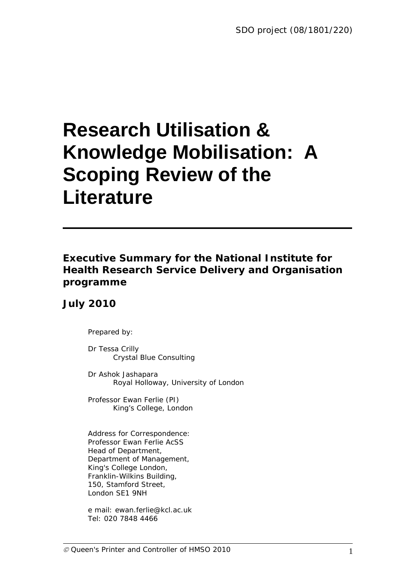# **Research Utilisation & Knowledge Mobilisation: A Scoping Review of the Literature**

### *Executive Summary for the National Institute for Health Research Service Delivery and Organisation programme*

### *July 2010*

Prepared by:

Dr Tessa Crilly Crystal Blue Consulting

Dr Ashok Jashapara Royal Holloway, University of London

Professor Ewan Ferlie (PI) King's College, London

Address for Correspondence: Professor Ewan Ferlie AcSS Head of Department, Department of Management, King's College London, Franklin-Wilkins Building, 150, Stamford Street, London SE1 9NH

e mail: ewan.ferlie@kcl.ac.uk Tel: 020 7848 4466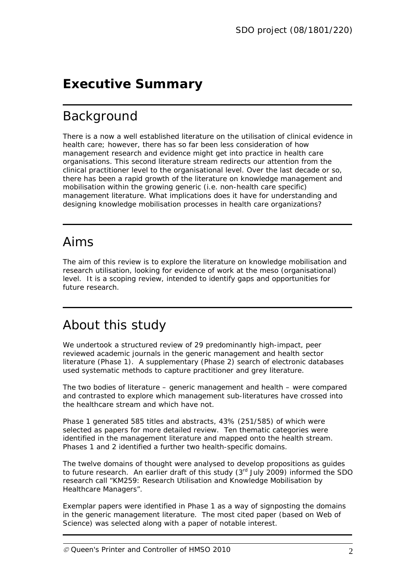## *Executive Summary*

### Background

There is a now a well established literature on the utilisation of *clinical* evidence in health care; however, there has so far been less consideration of how *management* research and evidence might get into practice in health care organisations. This second literature stream redirects our attention from the clinical practitioner level to the organisational level. Over the last decade or so, there has been a rapid growth of the literature on knowledge management and mobilisation within the growing generic (i.e. non-health care specific) management literature. What implications does it have for understanding and designing knowledge mobilisation processes in health care organizations?

### Aims

The aim of this review is to explore the literature on knowledge mobilisation and research utilisation, looking for evidence of work at the meso (organisational) level. It is a scoping review, intended to identify gaps and opportunities for future research.

### About this study

We undertook a structured review of 29 predominantly high-impact, peer reviewed academic journals in the generic management and health sector literature (Phase 1). A supplementary (Phase 2) search of electronic databases used systematic methods to capture practitioner and grey literature.

The two bodies of literature – generic management and health – were compared and contrasted to explore which management sub-literatures have crossed into the healthcare stream and which have not.

Phase 1 generated 585 titles and abstracts, 43% (251/585) of which were selected as papers for more detailed review. Ten thematic categories were identified in the management literature and mapped onto the health stream. Phases 1 and 2 identified a further two health-specific domains.

The twelve domains of thought were analysed to develop propositions as guides to future research. An earlier draft of this study  $(3<sup>rd</sup>$  July 2009) informed the SDO research call "KM259: Research Utilisation and Knowledge Mobilisation by Healthcare Managers".

Exemplar papers were identified in Phase 1 as a way of signposting the domains in the generic management literature. The most cited paper (based on Web of Science) was selected along with a paper of notable interest.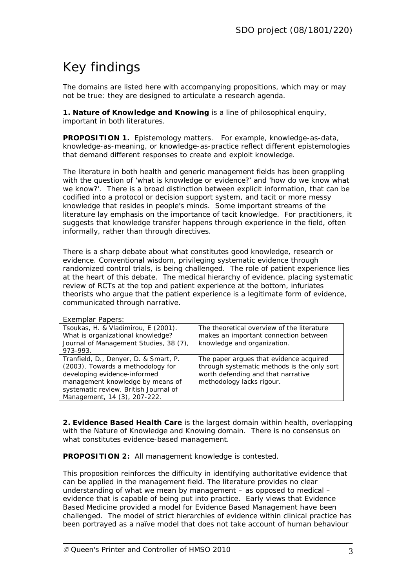# Key findings

The domains are listed here with accompanying propositions, which may or may not be true: they are designed to articulate a research agenda.

**1. Nature of Knowledge and Knowing** is a line of philosophical enquiry, important in both literatures.

**PROPOSITION 1.** Epistemology matters. For example, knowledge-as-data, knowledge-as-meaning, or knowledge-as-practice reflect different epistemologies that demand different responses to create and exploit knowledge.

The literature in both health and generic management fields has been grappling with the question of 'what is knowledge or evidence?' and 'how do we know what we know?'. There is a broad distinction between explicit information, that can be codified into a protocol or decision support system, and tacit or more messy knowledge that resides in people's minds. Some important streams of the literature lay emphasis on the importance of tacit knowledge. For practitioners, it suggests that knowledge transfer happens through experience in the field, often informally, rather than through directives.

There is a sharp debate about what constitutes good knowledge, research or evidence. Conventional wisdom, privileging systematic evidence through randomized control trials, is being challenged. The role of patient experience lies at the heart of this debate. The medical hierarchy of evidence, placing systematic review of RCTs at the top and patient experience at the bottom, infuriates theorists who argue that the patient experience is a legitimate form of evidence, communicated through narrative.

|  |  | Exemplar Papers: |  |
|--|--|------------------|--|
|--|--|------------------|--|

| $2.1011$ $\mu$ $1.411$ $\mu$ $\mu$ $\sigma$ $\sigma$ |                                             |
|------------------------------------------------------|---------------------------------------------|
| Tsoukas, H. & Vladimirou, E (2001).                  | The theoretical overview of the literature  |
| What is organizational knowledge?                    | makes an important connection between       |
| Journal of Management Studies, 38 (7),               | knowledge and organization.                 |
| 973-993.                                             |                                             |
| Tranfield, D., Denyer, D. & Smart, P.                | The paper argues that evidence acquired     |
| (2003). Towards a methodology for                    | through systematic methods is the only sort |
| developing evidence-informed                         | worth defending and that narrative          |
| management knowledge by means of                     | methodology lacks rigour.                   |
| systematic review. British Journal of                |                                             |
| Management, 14 (3), 207-222.                         |                                             |
|                                                      |                                             |

**2. Evidence Based Health Care** is the largest domain within health, overlapping with the Nature of Knowledge and Knowing domain. There is no consensus on what constitutes evidence-based management.

**PROPOSITION 2:** All management knowledge is contested.

This proposition reinforces the difficulty in identifying authoritative evidence that can be applied in the management field. The literature provides no clear understanding of what we mean by management – as opposed to medical – evidence that is capable of being put into practice. Early views that Evidence Based Medicine provided a model for Evidence Based Management have been challenged. The model of strict hierarchies of evidence within clinical practice has been portrayed as a naïve model that does not take account of human behaviour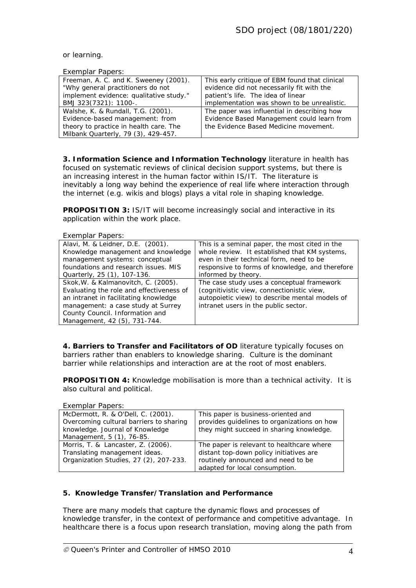#### or learning.

#### *Exemplar Papers:*

| Enour                                   |                                                |
|-----------------------------------------|------------------------------------------------|
| Freeman, A. C. and K. Sweeney (2001).   | This early critique of EBM found that clinical |
| "Why general practitioners do not       | evidence did not necessarily fit with the      |
| implement evidence: qualitative study." | patient's life. The idea of linear             |
| BMJ 323(7321): 1100-.                   | implementation was shown to be unrealistic.    |
| Walshe, K. & Rundall, T.G. (2001).      | The paper was influential in describing how    |
| Evidence-based management: from         | Evidence Based Management could learn from     |
| theory to practice in health care. The  | the Evidence Based Medicine movement.          |
| Milbank Quarterly, 79 (3), 429-457.     |                                                |

**3. Information Science and Information Technology** literature in health has focused on systematic reviews of clinical decision support systems, but there is an increasing interest in the human factor within IS/IT. The literature is inevitably a long way behind the experience of real life where interaction through the internet (e.g. wikis and blogs) plays a vital role in shaping knowledge.

**PROPOSITION 3: IS/IT will become increasingly social and interactive in its** application within the work place.

| <b>Exemplar Papers:</b>                  |                                                 |
|------------------------------------------|-------------------------------------------------|
| Alavi, M. & Leidner, D.E. (2001).        | This is a seminal paper, the most cited in the  |
| Knowledge management and knowledge       | whole review. It established that KM systems,   |
| management systems: conceptual           | even in their technical form, need to be        |
| foundations and research issues. MIS     | responsive to forms of knowledge, and therefore |
| Quarterly, 25 (1), 107-136.              | informed by theory.                             |
| Skok, W. & Kalmanovitch, C. (2005).      | The case study uses a conceptual framework      |
| Evaluating the role and effectiveness of | (cognitivistic view, connectionistic view,      |
| an intranet in facilitating knowledge    | autopoietic view) to describe mental models of  |
| management: a case study at Surrey       | intranet users in the public sector.            |
| County Council. Information and          |                                                 |
| Management, 42 (5), 731-744.             |                                                 |

**4. Barriers to Transfer and Facilitators of OD** literature typically focuses on barriers rather than enablers to knowledge sharing. Culture is the dominant barrier while relationships and interaction are at the root of most enablers.

**PROPOSITION 4:** Knowledge mobilisation is more than a technical activity. It is also cultural and political.

| <b>Exemplar Papers:</b>                 |                                             |
|-----------------------------------------|---------------------------------------------|
| McDermott, R. & O'Dell, C. (2001).      | This paper is business-oriented and         |
| Overcoming cultural barriers to sharing | provides guidelines to organizations on how |
| knowledge. Journal of Knowledge         | they might succeed in sharing knowledge.    |
| Management, 5 (1), 76-85.               |                                             |
| Morris, T. & Lancaster, Z. (2006).      | The paper is relevant to healthcare where   |
| Translating management ideas.           | distant top-down policy initiatives are     |
| Organization Studies, 27 (2), 207-233.  | routinely announced and need to be          |
|                                         | adapted for local consumption.              |

#### **5. Knowledge Transfer/Translation and Performance**

There are many models that capture the dynamic flows and processes of knowledge transfer, in the context of performance and competitive advantage. In healthcare there is a focus upon research translation, moving along the path from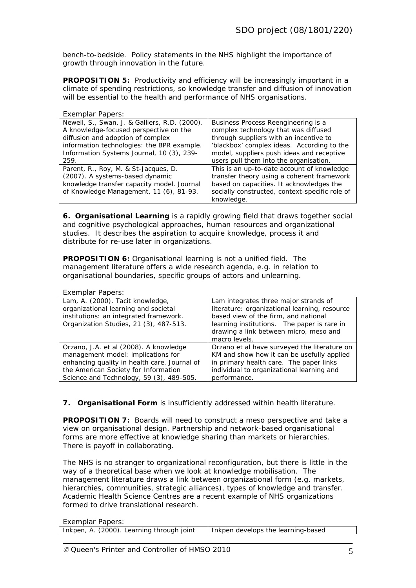bench-to-bedside. Policy statements in the NHS highlight the importance of growth through innovation in the future.

**PROPOSITION 5:** Productivity and efficiency will be increasingly important in a climate of spending restrictions, so knowledge transfer and diffusion of innovation will be essential to the health and performance of NHS organisations.

| Exemplar Papers:                              |                                                |
|-----------------------------------------------|------------------------------------------------|
| Newell, S., Swan, J. & Galliers, R.D. (2000). | Business Process Reengineering is a            |
| A knowledge-focused perspective on the        | complex technology that was diffused           |
| diffusion and adoption of complex             | through suppliers with an incentive to         |
| information technologies: the BPR example.    | 'blackbox' complex ideas. According to the     |
| Information Systems Journal, 10 (3), 239-     | model, suppliers push ideas and receptive      |
| 259.                                          | users pull them into the organisation.         |
| Parent, R., Roy, M. & St-Jacques, D.          | This is an up-to-date account of knowledge     |
| (2007). A systems-based dynamic               | transfer theory using a coherent framework     |
| knowledge transfer capacity model. Journal    | based on capacities. It acknowledges the       |
| of Knowledge Management, 11 (6), 81-93.       | socially constructed, context-specific role of |
|                                               | knowledge.                                     |

**6. Organisational Learning** is a rapidly growing field that draws together social and cognitive psychological approaches, human resources and organizational studies. It describes the aspiration to acquire knowledge, process it and distribute for re-use later in organizations.

**PROPOSITION 6:** Organisational learning is not a unified field. The management literature offers a wide research agenda, e.g. in relation to organisational boundaries, specific groups of actors and unlearning.

#### *Exemplar Papers:*

| Lam, A. (2000). Tacit knowledge,<br>Lam integrates three major strands of<br>organizational learning and societal<br>literature: organizational learning, resource<br>institutions: an integrated framework.<br>based view of the firm, and national<br>Organization Studies, 21 (3), 487-513.<br>learning institutions. The paper is rare in<br>drawing a link between micro, meso and |  |
|-----------------------------------------------------------------------------------------------------------------------------------------------------------------------------------------------------------------------------------------------------------------------------------------------------------------------------------------------------------------------------------------|--|
|                                                                                                                                                                                                                                                                                                                                                                                         |  |
|                                                                                                                                                                                                                                                                                                                                                                                         |  |
|                                                                                                                                                                                                                                                                                                                                                                                         |  |
|                                                                                                                                                                                                                                                                                                                                                                                         |  |
|                                                                                                                                                                                                                                                                                                                                                                                         |  |
| macro levels.                                                                                                                                                                                                                                                                                                                                                                           |  |
| Orzano, J.A. et al (2008). A knowledge<br>Orzano et al have surveyed the literature on                                                                                                                                                                                                                                                                                                  |  |
| management model: implications for<br>KM and show how it can be usefully applied                                                                                                                                                                                                                                                                                                        |  |
| enhancing quality in health care. Journal of<br>in primary health care. The paper links                                                                                                                                                                                                                                                                                                 |  |
| the American Society for Information<br>individual to organizational learning and                                                                                                                                                                                                                                                                                                       |  |
| Science and Technology, 59 (3), 489-505.<br>performance.                                                                                                                                                                                                                                                                                                                                |  |

**7. Organisational Form** is insufficiently addressed within health literature.

**PROPOSITION 7:** Boards will need to construct a meso perspective and take a view on organisational design. Partnership and network-based organisational forms are more effective at knowledge sharing than markets or hierarchies. There is payoff in collaborating.

The NHS is no stranger to organizational reconfiguration, but there is little in the way of a theoretical base when we look at knowledge mobilisation. The management literature draws a link between organizational form (e.g. markets, hierarchies, communities, strategic alliances), types of knowledge and transfer. Academic Health Science Centres are a recent example of NHS organizations formed to drive translational research.

| Inkpen, A. (2000). Learning through joint | l Inkpen develops the learning-based |
|-------------------------------------------|--------------------------------------|
|                                           |                                      |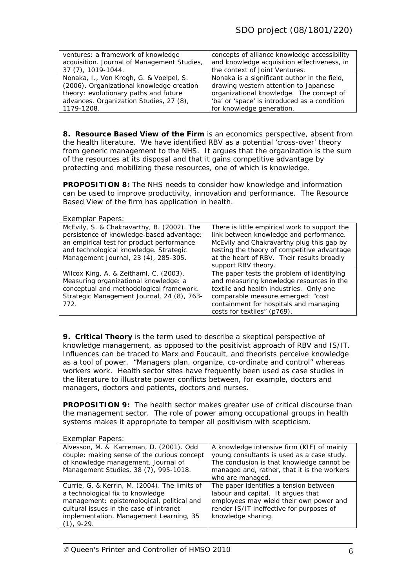| ventures: a framework of knowledge          | concepts of alliance knowledge accessibility |
|---------------------------------------------|----------------------------------------------|
| acquisition. Journal of Management Studies, | and knowledge acquisition effectiveness, in  |
| 37 (7), 1019-1044.                          | the context of Joint Ventures.               |
| Nonaka, I., Von Krogh, G. & Voelpel, S.     | Nonaka is a significant author in the field, |
| (2006). Organizational knowledge creation   | drawing western attention to Japanese        |
| theory: evolutionary paths and future       | organizational knowledge. The concept of     |
| advances. Organization Studies, 27 (8),     | 'ba' or 'space' is introduced as a condition |
| 1179-1208.                                  | for knowledge generation.                    |

**8. Resource Based View of the Firm** is an economics perspective, absent from the health literature. We have identified RBV as a potential 'cross-over' theory from generic management to the NHS. It argues that the organization is the sum of the resources at its disposal and that it gains competitive advantage by protecting and mobilizing these resources, one of which is knowledge.

**PROPOSITION 8:** The NHS needs to consider how knowledge and information can be used to improve productivity, innovation and performance. The Resource Based View of the firm has application in health.

*Exemplar Papers:* 

| $L$ <sup>1</sup> $L$ <sup>1</sup> $L$ $R$ <sup>1</sup> $L$ $R$ $R$ $R$ $R$ $R$ $R$ $R$ $R$ $R$ $R$ $R$ |                                               |
|--------------------------------------------------------------------------------------------------------|-----------------------------------------------|
| McEvily, S. & Chakravarthy, B. (2002). The                                                             | There is little empirical work to support the |
| persistence of knowledge-based advantage:                                                              | link between knowledge and performance.       |
| an empirical test for product performance                                                              | McEvily and Chakravarthy plug this gap by     |
| and technological knowledge. Strategic                                                                 | testing the theory of competitive advantage   |
| Management Journal, 23 (4), 285-305.                                                                   | at the heart of RBV. Their results broadly    |
|                                                                                                        | support RBV theory.                           |
| Wilcox King, A. & Zeithaml, C. (2003).                                                                 | The paper tests the problem of identifying    |
| Measuring organizational knowledge: a                                                                  | and measuring knowledge resources in the      |
| conceptual and methodological framework.                                                               | textile and health industries. Only one       |
| Strategic Management Journal, 24 (8), 763-                                                             | comparable measure emerged: "cost             |
| 772.                                                                                                   | containment for hospitals and managing        |
|                                                                                                        | costs for textiles" (p769).                   |

**9. Critical Theory** is the term used to describe a skeptical perspective of knowledge management, as opposed to the positivist approach of RBV and IS/IT. Influences can be traced to Marx and Foucault, and theorists perceive knowledge as a tool of power. "Managers plan, organize, co-ordinate and control" whereas workers work. Health sector sites have frequently been used as case studies in the literature to illustrate power conflicts between, for example, doctors and managers, doctors and patients, doctors and nurses.

**PROPOSITION 9:** The health sector makes greater use of critical discourse than the management sector. The role of power among occupational groups in health systems makes it appropriate to temper all positivism with scepticism.

| Exemplar Papers:                                                                                                                                                                                                                      |                                                                                                                                                                                                           |
|---------------------------------------------------------------------------------------------------------------------------------------------------------------------------------------------------------------------------------------|-----------------------------------------------------------------------------------------------------------------------------------------------------------------------------------------------------------|
| Alvesson, M. & Karreman, D. (2001). Odd<br>couple: making sense of the curious concept<br>of knowledge management. Journal of<br>Management Studies, 38 (7), 995-1018.                                                                | A knowledge intensive firm (KIF) of mainly<br>young consultants is used as a case study.<br>The conclusion is that knowledge cannot be<br>managed and, rather, that it is the workers<br>who are managed. |
| Currie, G. & Kerrin, M. (2004). The limits of<br>a technological fix to knowledge<br>management: epistemological, political and<br>cultural issues in the case of intranet<br>implementation. Management Learning, 35<br>$(1), 9-29.$ | The paper identifies a tension between<br>labour and capital. It argues that<br>employees may wield their own power and<br>render IS/IT ineffective for purposes of<br>knowledge sharing.                 |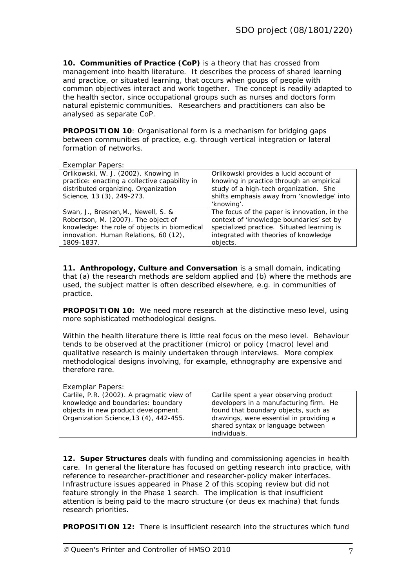**10. Communities of Practice (CoP)** is a theory that has crossed from management into health literature. It describes the process of shared learning and practice, or situated learning, that occurs when goups of people with common objectives interact and work together. The concept is readily adapted to the health sector, since occupational groups such as nurses and doctors form natural epistemic communities. Researchers and practitioners can also be analysed as separate CoP.

**PROPOSITION 10:** Organisational form is a mechanism for bridging gaps between communities of practice, e.g. through vertical integration or lateral formation of networks.

*Exemplar Papers:* 

| 2.1                                           |                                              |
|-----------------------------------------------|----------------------------------------------|
| Orlikowski, W. J. (2002). Knowing in          | Orlikowski provides a lucid account of       |
| practice: enacting a collective capability in | knowing in practice through an empirical     |
| distributed organizing. Organization          | study of a high-tech organization. She       |
| Science, 13 (3), 249-273.                     | shifts emphasis away from 'knowledge' into   |
|                                               | 'knowing'.                                   |
| Swan, J., Bresnen, M., Newell, S. &           | The focus of the paper is innovation, in the |
| Robertson, M. (2007). The object of           | context of 'knowledge boundaries' set by     |
| knowledge: the role of objects in biomedical  | specialized practice. Situated learning is   |
| innovation. Human Relations, 60 (12),         | integrated with theories of knowledge        |
| 1809-1837.                                    | objects.                                     |
|                                               |                                              |

**11. Anthropology, Culture and Conversation** is a small domain, indicating that (a) the research methods are seldom applied and (b) where the methods are used, the subject matter is often described elsewhere, e.g. in communities of practice.

**PROPOSITION 10:** We need more research at the distinctive meso level, using more sophisticated methodological designs.

Within the health literature there is little real focus on the meso level. Behaviour tends to be observed at the practitioner (micro) or policy (macro) level and qualitative research is mainly undertaken through interviews. More complex methodological designs involving, for example, ethnography are expensive and therefore rare.

#### *Exemplar Papers:*

| Carlile, P.R. (2002). A pragmatic view of | Carlile spent a year observing product  |
|-------------------------------------------|-----------------------------------------|
| knowledge and boundaries: boundary        | developers in a manufacturing firm. He  |
| objects in new product development.       | found that boundary objects, such as    |
| Organization Science, 13 (4), 442-455.    | drawings, were essential in providing a |
|                                           | shared syntax or language between       |
|                                           | individuals.                            |

**12. Super Structures** deals with funding and commissioning agencies in health care. In general the literature has focused on getting research into practice, with reference to researcher-practitioner and researcher-policy maker interfaces. Infrastructure issues appeared in Phase 2 of this scoping review but did not feature strongly in the Phase 1 search. The implication is that insufficient attention is being paid to the macro structure (or *deus ex machina*) that funds research priorities.

**PROPOSITION 12:** There is insufficient research into the structures which fund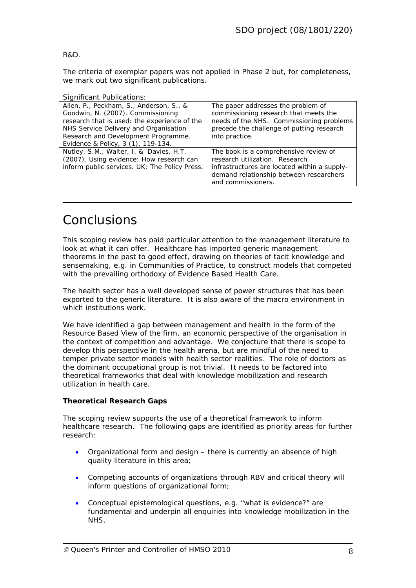R&D.

The criteria of exemplar papers was not applied in Phase 2 but, for completeness, we mark out two significant publications.

| <b>Significant Publications:</b>                                                                                                                                                                                                                   |                                                                                                                                                                                          |
|----------------------------------------------------------------------------------------------------------------------------------------------------------------------------------------------------------------------------------------------------|------------------------------------------------------------------------------------------------------------------------------------------------------------------------------------------|
| Allen, P., Peckham, S., Anderson, S., &<br>Goodwin, N. (2007). Commissioning<br>research that is used: the experience of the<br>NHS Service Delivery and Organisation<br>Research and Development Programme.<br>Evidence & Policy, 3 (1), 119-134. | The paper addresses the problem of<br>commissioning research that meets the<br>needs of the NHS. Commissioning problems<br>precede the challenge of putting research<br>into practice.   |
| Nutley, S.M., Walter, I. & Davies, H.T.<br>(2007). Using evidence: How research can<br>inform public services. UK: The Policy Press.                                                                                                               | The book is a comprehensive review of<br>research utilization. Research<br>infrastructures are located within a supply-<br>demand relationship between researchers<br>and commissioners. |

### Conclusions

This scoping review has paid particular attention to the management literature to look at what it can offer. Healthcare has imported generic management theorems in the past to good effect, drawing on theories of tacit knowledge and sensemaking, e.g. in Communities of Practice, to construct models that competed with the prevailing orthodoxy of Evidence Based Health Care.

The health sector has a well developed sense of power structures that has been exported to the generic literature. It is also aware of the macro environment in which institutions work.

We have identified a gap between management and health in the form of the Resource Based View of the firm, an economic perspective of the organisation in the context of competition and advantage. We conjecture that there is scope to develop this perspective in the health arena, but are mindful of the need to temper private sector models with health sector realities. The role of doctors as the dominant occupational group is not trivial. It needs to be factored into theoretical frameworks that deal with knowledge mobilization and research utilization in health care.

#### **Theoretical Research Gaps**

The scoping review supports the use of a theoretical framework to inform healthcare research. The following gaps are identified as priority areas for further research:

- Organizational form and design there is currently an absence of high quality literature in this area;
- Competing accounts of organizations through RBV and critical theory will inform questions of organizational form;
- Conceptual epistemological questions, e.g. "what is evidence?" are fundamental and underpin all enquiries into knowledge mobilization in the NHS.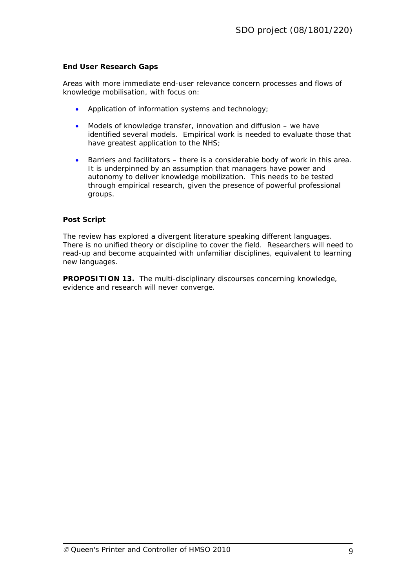#### **End User Research Gaps**

Areas with more immediate end-user relevance concern processes and flows of knowledge mobilisation, with focus on:

- Application of information systems and technology;
- Models of knowledge transfer, innovation and diffusion we have identified several models. Empirical work is needed to evaluate those that have greatest application to the NHS;
- Barriers and facilitators there is a considerable body of work in this area. It is underpinned by an assumption that managers have power and autonomy to deliver knowledge mobilization. This needs to be tested through empirical research, given the presence of powerful professional groups.

#### **Post Script**

The review has explored a divergent literature speaking different languages. There is no unified theory or discipline to cover the field. Researchers will need to read-up and become acquainted with unfamiliar disciplines, equivalent to learning new languages.

**PROPOSITION 13.** The multi-disciplinary discourses concerning knowledge, evidence and research will never converge.